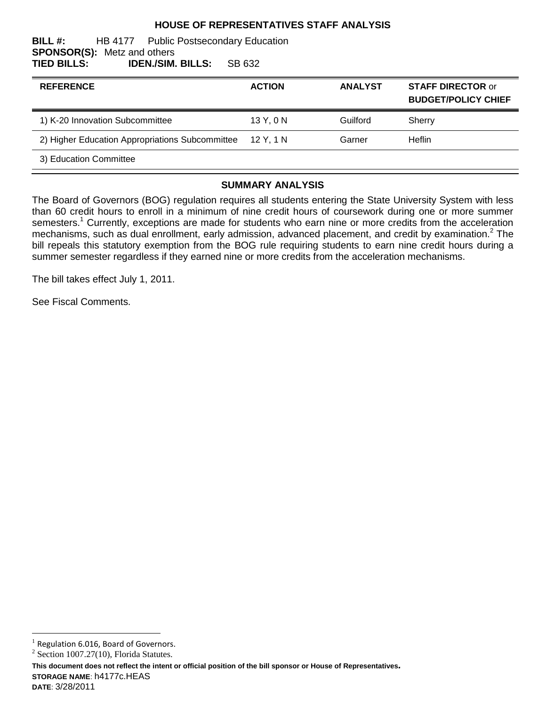## **HOUSE OF REPRESENTATIVES STAFF ANALYSIS**

#### **BILL #:** HB 4177 Public Postsecondary Education **SPONSOR(S):** Metz and others **TIED BILLS: IDEN./SIM. BILLS:** SB 632

| <b>REFERENCE</b>                                | <b>ACTION</b> | <b>ANALYST</b> | <b>STAFF DIRECTOR or</b><br><b>BUDGET/POLICY CHIEF</b> |
|-------------------------------------------------|---------------|----------------|--------------------------------------------------------|
| 1) K-20 Innovation Subcommittee                 | 13Y, 0N       | Guilford       | Sherry                                                 |
| 2) Higher Education Appropriations Subcommittee | 12 Y, 1 N     | Garner         | <b>Heflin</b>                                          |
| 3) Education Committee                          |               |                |                                                        |

#### **SUMMARY ANALYSIS**

The Board of Governors (BOG) regulation requires all students entering the State University System with less than 60 credit hours to enroll in a minimum of nine credit hours of coursework during one or more summer semesters.<sup>1</sup> Currently, exceptions are made for students who earn nine or more credits from the acceleration mechanisms, such as dual enrollment, early admission, advanced placement, and credit by examination.<sup>2</sup> The bill repeals this statutory exemption from the BOG rule requiring students to earn nine credit hours during a summer semester regardless if they earned nine or more credits from the acceleration mechanisms.

The bill takes effect July 1, 2011.

See Fiscal Comments.

 $\overline{a}$ 

**This document does not reflect the intent or official position of the bill sponsor or House of Representatives***.* **STORAGE NAME**: h4177c.HEAS **DATE**: 3/28/2011

<sup>1</sup> Regulation 6.016, Board of Governors.

 $2$  Section 1007.27(10), Florida Statutes.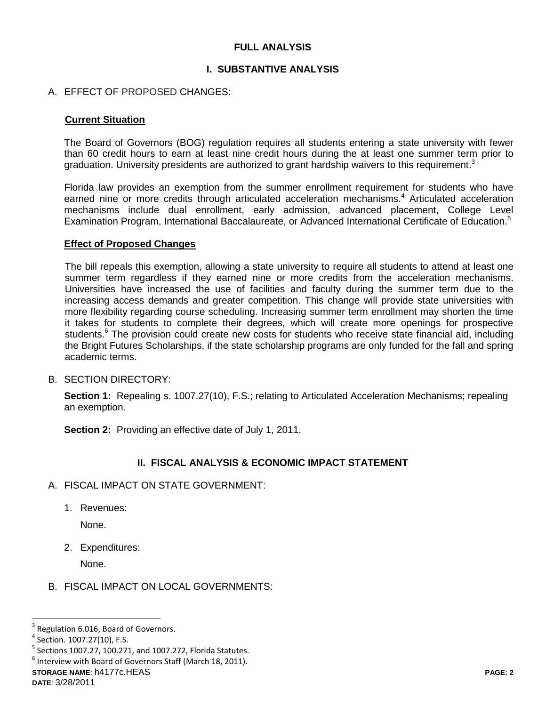## **FULL ANALYSIS**

### **I. SUBSTANTIVE ANALYSIS**

### A. EFFECT OF PROPOSED CHANGES:

#### **Current Situation**

The Board of Governors (BOG) regulation requires all students entering a state university with fewer than 60 credit hours to earn at least nine credit hours during the at least one summer term prior to graduation. University presidents are authorized to grant hardship waivers to this requirement.<sup>3</sup>

Florida law provides an exemption from the summer enrollment requirement for students who have earned nine or more credits through articulated acceleration mechanisms.<sup>4</sup> Articulated acceleration mechanisms include dual enrollment, early admission, advanced placement, College Level Examination Program, International Baccalaureate, or Advanced International Certificate of Education.<sup>5</sup>

#### **Effect of Proposed Changes**

The bill repeals this exemption, allowing a state university to require all students to attend at least one summer term regardless if they earned nine or more credits from the acceleration mechanisms. Universities have increased the use of facilities and faculty during the summer term due to the increasing access demands and greater competition. This change will provide state universities with more flexibility regarding course scheduling. Increasing summer term enrollment may shorten the time it takes for students to complete their degrees, which will create more openings for prospective students.<sup>6</sup> The provision could create new costs for students who receive state financial aid, including the Bright Futures Scholarships, if the state scholarship programs are only funded for the fall and spring academic terms.

B. SECTION DIRECTORY:

**Section 1:** Repealing s. 1007.27(10), F.S.; relating to Articulated Acceleration Mechanisms; repealing an exemption.

**Section 2:** Providing an effective date of July 1, 2011.

## **II. FISCAL ANALYSIS & ECONOMIC IMPACT STATEMENT**

- A. FISCAL IMPACT ON STATE GOVERNMENT:
	- 1. Revenues:

None.

2. Expenditures:

None.

B. FISCAL IMPACT ON LOCAL GOVERNMENTS:

 $\overline{a}$ 

<sup>3</sup> Regulation 6.016, Board of Governors.

<sup>4</sup> Section. 1007.27(10), F.S.

 $<sup>5</sup>$  Sections 1007.27, 100.271, and 1007.272, Florida Statutes.</sup>

 $^6$  Interview with Board of Governors Staff (March 18, 2011).

**STORAGE NAME**: h4177c.HEAS **PAGE: 2**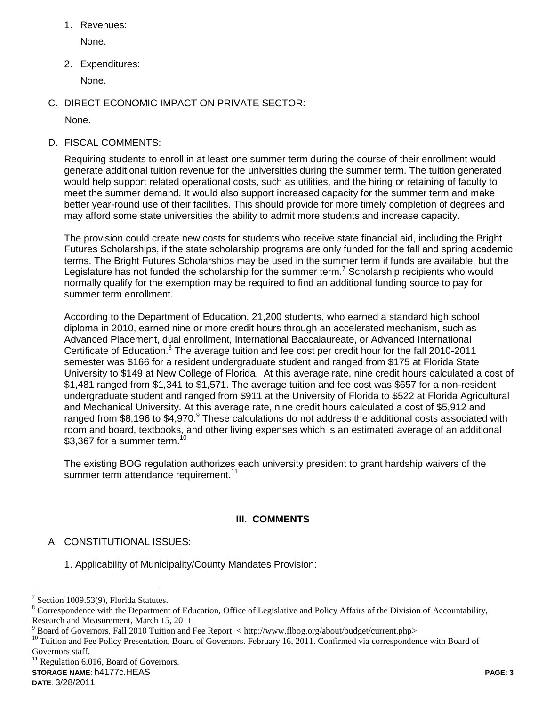1. Revenues:

None.

2. Expenditures:

None.

C. DIRECT ECONOMIC IMPACT ON PRIVATE SECTOR:

None.

D. FISCAL COMMENTS:

Requiring students to enroll in at least one summer term during the course of their enrollment would generate additional tuition revenue for the universities during the summer term. The tuition generated would help support related operational costs, such as utilities, and the hiring or retaining of faculty to meet the summer demand. It would also support increased capacity for the summer term and make better year-round use of their facilities. This should provide for more timely completion of degrees and may afford some state universities the ability to admit more students and increase capacity.

The provision could create new costs for students who receive state financial aid, including the Bright Futures Scholarships, if the state scholarship programs are only funded for the fall and spring academic terms. The Bright Futures Scholarships may be used in the summer term if funds are available, but the Legislature has not funded the scholarship for the summer term.<sup>7</sup> Scholarship recipients who would normally qualify for the exemption may be required to find an additional funding source to pay for summer term enrollment.

According to the Department of Education, 21,200 students, who earned a standard high school diploma in 2010, earned nine or more credit hours through an accelerated mechanism, such as Advanced Placement, dual enrollment, International Baccalaureate, or Advanced International Certificate of Education.<sup>8</sup> The average tuition and fee cost per credit hour for the fall 2010-2011 semester was \$166 for a resident undergraduate student and ranged from \$175 at Florida State University to \$149 at New College of Florida. At this average rate, nine credit hours calculated a cost of \$1,481 ranged from \$1,341 to \$1,571. The average tuition and fee cost was \$657 for a non-resident undergraduate student and ranged from \$911 at the University of Florida to \$522 at Florida Agricultural and Mechanical University. At this average rate, nine credit hours calculated a cost of \$5,912 and ranged from \$8,196 to \$4,970.<sup>9</sup> These calculations do not address the additional costs associated with room and board, textbooks, and other living expenses which is an estimated average of an additional \$3,367 for a summer term.<sup>10</sup>

The existing BOG regulation authorizes each university president to grant hardship waivers of the summer term attendance requirement.<sup>11</sup>

# **III. COMMENTS**

# A. CONSTITUTIONAL ISSUES:

1. Applicability of Municipality/County Mandates Provision:

 $\overline{a}$ <sup>7</sup> Section 1009.53(9), Florida Statutes.

<sup>&</sup>lt;sup>8</sup> Correspondence with the Department of Education, Office of Legislative and Policy Affairs of the Division of Accountability, Research and Measurement, March 15, 2011.

 $9$  Board of Governors, Fall 2010 Tuition and Fee Report. < http://www.flbog.org/about/budget/current.php>

<sup>&</sup>lt;sup>10</sup> Tuition and Fee Policy Presentation, Board of Governors. February 16, 2011. Confirmed via correspondence with Board of Governors staff.